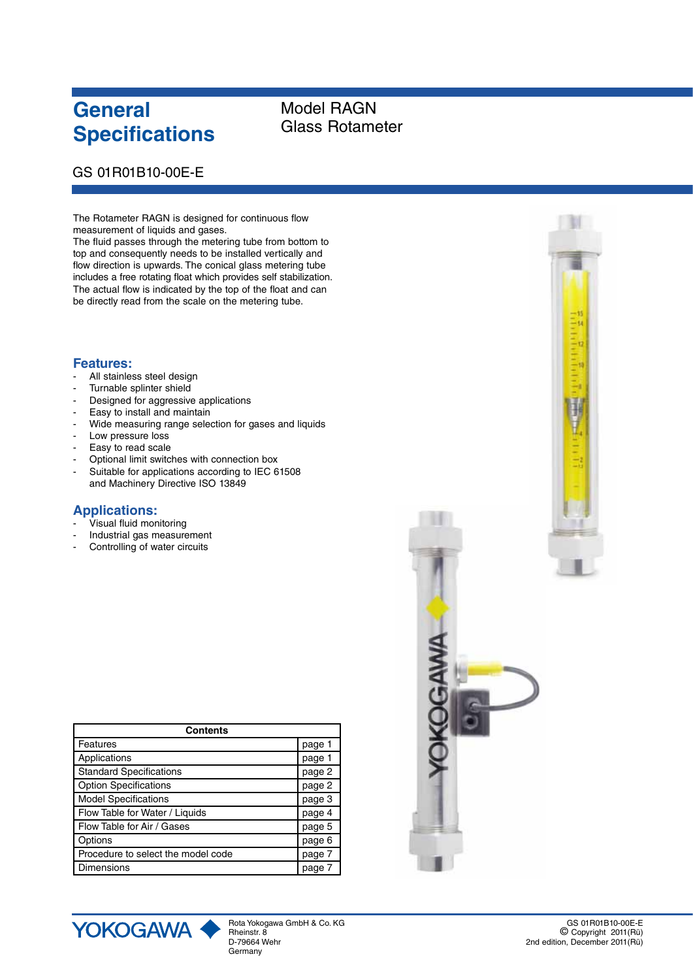# **General Specifications**

## Model RAGN Glass Rotameter

### GS 01R01B10-00E-E

The Rotameter RAGN is designed for continuous flow measurement of liquids and gases.

The fluid passes through the metering tube from bottom to top and consequently needs to be installed vertically and flow direction is upwards. The conical glass metering tube includes a free rotating float which provides self stabilization. The actual flow is indicated by the top of the float and can be directly read from the scale on the metering tube.

### **Features:**

- All stainless steel design
- Turnable splinter shield
- Designed for aggressive applications
- Easy to install and maintain
- Wide measuring range selection for gases and liquids
- Low pressure loss
- Easy to read scale
- Optional limit switches with connection box
- Suitable for applications according to IEC 61508 and Machinery Directive ISO 13849

### **Applications:**

- Visual fluid monitoring
- Industrial gas measurement
- Controlling of water circuits

| <b>Contents</b>                    |        |  |  |  |  |
|------------------------------------|--------|--|--|--|--|
| Features                           | page 1 |  |  |  |  |
| Applications                       | page 1 |  |  |  |  |
| <b>Standard Specifications</b>     | page 2 |  |  |  |  |
| <b>Option Specifications</b>       | page 2 |  |  |  |  |
| <b>Model Specifications</b>        | page 3 |  |  |  |  |
| Flow Table for Water / Liquids     | page 4 |  |  |  |  |
| Flow Table for Air / Gases         | page 5 |  |  |  |  |
| Options                            | page 6 |  |  |  |  |
| Procedure to select the model code | page 7 |  |  |  |  |
| <b>Dimensions</b>                  | page 7 |  |  |  |  |



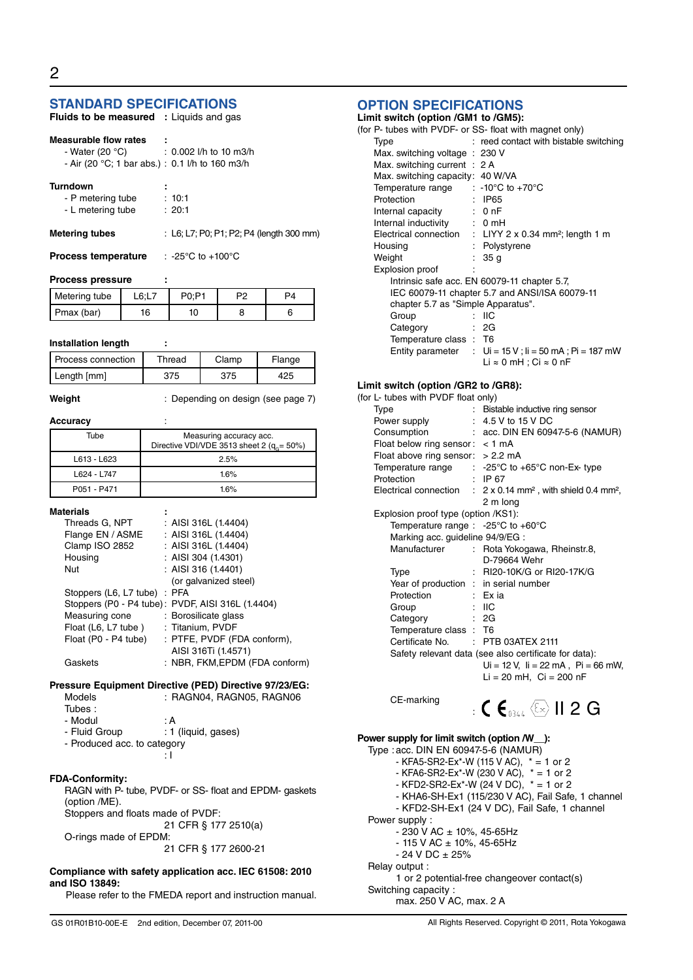### **STANDARD SPECIFICATIONS**

| <b>Fluids to be measured</b> : Liquids and gas |  |  |  |
|------------------------------------------------|--|--|--|
|------------------------------------------------|--|--|--|

#### **Measurable flow rates :**

- Water (20 °C) : 0.002 l/h to 10 m3/h - Air (20 °C; 1 bar abs.) : 0.1 l/h to 160 m3/h

| <b>Turndown</b> |  |
|-----------------|--|
|                 |  |

- P metering tube : 10:1<br>- L metering tube : 20:1

- L metering tube

#### **Metering tubes** : L6; L7; P0; P1; P2; P4 (length 300 mm)

**Process temperature** : -25°C to +100°C

#### **Process pressure :**

| Metering tube |    |  |  |
|---------------|----|--|--|
| Pmax (bar)    | 16 |  |  |

#### **Installation length :**

| Process connection | Thread | Clamp | Flange |
|--------------------|--------|-------|--------|
| Length [mm]        | 375    | 375   | 125    |
|                    |        |       |        |

**Weight** : Depending on design (see page 7)

#### **Accuracy** :

| Tube        | Measuring accuracy acc.<br>Directive VDI/VDE 3513 sheet 2 ( $q_e$ = 50%) |
|-------------|--------------------------------------------------------------------------|
| L613 - L623 | 2.5%                                                                     |
| L624 - L747 | 16%                                                                      |
| P051 - P471 | 16%                                                                      |

#### **Materials :**

| Threads G, NPT               | : AISI 316L (1.4404)                              |
|------------------------------|---------------------------------------------------|
| Flange EN / ASME             | : AISI 316L (1.4404)                              |
| Clamp ISO 2852               | : AISI 316L $(1.4404)$                            |
| Housing                      | : AISI 304 $(1.4301)$                             |
| Nut                          | : AISI 316 (1.4401)                               |
|                              | (or galvanized steel)                             |
| Stoppers (L6, L7 tube) : PFA |                                                   |
|                              | Stoppers (P0 - P4 tube): PVDF, AISI 316L (1.4404) |
| Measuring cone               | : Borosilicate glass                              |
| Float (L6, L7 tube)          | : Titanium, PVDF                                  |
| Float (P0 - P4 tube)         | : PTFE, PVDF (FDA conform),                       |
|                              | AISI 316Ti (1.4571)                               |
| Gaskets                      | : NBR, FKM, EPDM (FDA conform)                    |
|                              |                                                   |

#### **Pressure Equipment Directive (PED) Directive 97/23/EG:**

| <b>Models</b>                     | : RAGN04, RAGN05, RAGN06                                |  |
|-----------------------------------|---------------------------------------------------------|--|
| Tubes:                            |                                                         |  |
| - Modul                           | : A                                                     |  |
| - Fluid Group                     | : 1 (liquid, gases)                                     |  |
| - Produced acc. to category       |                                                         |  |
|                                   |                                                         |  |
| <b>FDA-Conformity:</b>            |                                                         |  |
|                                   | RAGN with P- tube, PVDF- or SS- float and EPDM- gaskets |  |
| (option /ME).                     |                                                         |  |
| Stoppers and floats made of PVDF: |                                                         |  |
|                                   |                                                         |  |

 21 CFR § 177 2510(a) O-rings made of EPDM:

21 CFR § 177 2600-21

#### **Compliance with safety application acc. IEC 61508: 2010 and ISO 13849:**

Please refer to the FMEDA report and instruction manual.

### **OPTION SPECIFICATIONS**

| <b>OPTION SPECIFICATIONS</b>                            |    |                                                                    |
|---------------------------------------------------------|----|--------------------------------------------------------------------|
| Limit switch (option /GM1 to /GM5):                     |    |                                                                    |
| (for P- tubes with PVDF- or SS- float with magnet only) |    |                                                                    |
| Type                                                    |    | : reed contact with bistable switching                             |
| Max. switching voltage : 230 V                          |    |                                                                    |
| Max. switching current : 2 A                            |    |                                                                    |
| Max. switching capacity: 40 W/VA                        |    |                                                                    |
| Temperature range $\qquad$ : -10°C to +70°C             |    |                                                                    |
| Protection                                              |    | : IP65                                                             |
| Internal capacity : 0 nF                                |    |                                                                    |
| Internal inductivity : 0 mH                             |    |                                                                    |
|                                                         |    | Electrical connection : LIYY 2 x 0.34 mm <sup>2</sup> ; length 1 m |
| Housing                                                 |    | : Polystyrene                                                      |
| Weight                                                  | ÷. | 35 <sub>g</sub>                                                    |
| Explosion proof                                         |    |                                                                    |
|                                                         |    | Intrinsic safe acc. EN 60079-11 chapter 5.7.                       |
|                                                         |    | IEC 60079-11 chapter 5.7 and ANSI/ISA 60079-11                     |
| chapter 5.7 as "Simple Apparatus".                      |    |                                                                    |
| Group                                                   |    | : IIC                                                              |
| Category                                                |    | : 2G                                                               |
| Temperature class: T6                                   |    |                                                                    |

Entity parameter :  $Ui = 15 V$ ;  $li = 50 mA$ ;  $Pi = 187 mW$ 

Li ≈ 0 mH ; Ci ≈ 0 nF

#### **Limit switch (option /GR2 to /GR8):**

| (for L- tubes with PVDF float only)                      |                                                                                             |
|----------------------------------------------------------|---------------------------------------------------------------------------------------------|
| <b>Type</b>                                              | Bistable inductive ring sensor                                                              |
| Power supply : 4.5 V to 15 V DC                          |                                                                                             |
| Consumption                                              | : acc. DIN EN 60947-5-6 (NAMUR)                                                             |
| Float below ring sensor: $<$ 1 mA                        |                                                                                             |
| Float above ring sensor: $> 2.2$ mA                      |                                                                                             |
|                                                          | Temperature range $\therefore$ -25°C to +65°C non-Ex-type                                   |
| Protection                                               | $\therefore$ IP 67                                                                          |
|                                                          | Electrical connection : $2 \times 0.14$ mm <sup>2</sup> , with shield 0.4 mm <sup>2</sup> , |
|                                                          | 2 m long                                                                                    |
| Explosion proof type (option /KS1):                      |                                                                                             |
| Temperature range : -25 $^{\circ}$ C to +60 $^{\circ}$ C |                                                                                             |
| Marking acc. guideline 94/9/EG :                         |                                                                                             |
|                                                          | Manufacturer : Rota Yokogawa, Rheinstr.8,                                                   |
|                                                          | D-79664 Wehr                                                                                |
| <b>Type</b>                                              | : RI20-10K/G or RI20-17K/G                                                                  |
| Year of production : in serial number                    |                                                                                             |
| Protection                                               | : Exia                                                                                      |
| Group                                                    | : IIC                                                                                       |
| Category                                                 | : 2G                                                                                        |
| Temperature class: T6                                    |                                                                                             |
| Certificate No. : PTB 03ATEX 2111                        |                                                                                             |
|                                                          | Safety relevant data (see also certificate for data):                                       |
|                                                          | $Ui = 12 V$ , $li = 22 mA$ , $Pi = 66 mW$ ,                                                 |
|                                                          | $Li = 20$ mH, $Ci = 200$ nF                                                                 |
|                                                          |                                                                                             |

CE-marking



#### **Power supply for limit switch (option /W\_\_):** Type :acc. DIN EN 60947-5-6 (NAMUR) - KFA5-SR2-Ex\*-W (115 V AC), \* = 1 or 2 - KFA6-SR2-Ex\*-W (230 V AC), \* = 1 or 2 - KFD2-SR2-Ex\*-W (24 V DC),  $* = 1$  or 2 - KHA6-SH-Ex1 (115/230 V AC), Fail Safe, 1 channel - KFD2-SH-Ex1 (24 V DC), Fail Safe, 1 channel Power supply : - 230 V AC ± 10%, 45-65Hz - 115 V AC ± 10%, 45-65Hz  $- 24 V DC \pm 25%$ Relay output : 1 or 2 potential-free changeover contact(s) Switching capacity : max. 250 V AC, max. 2 A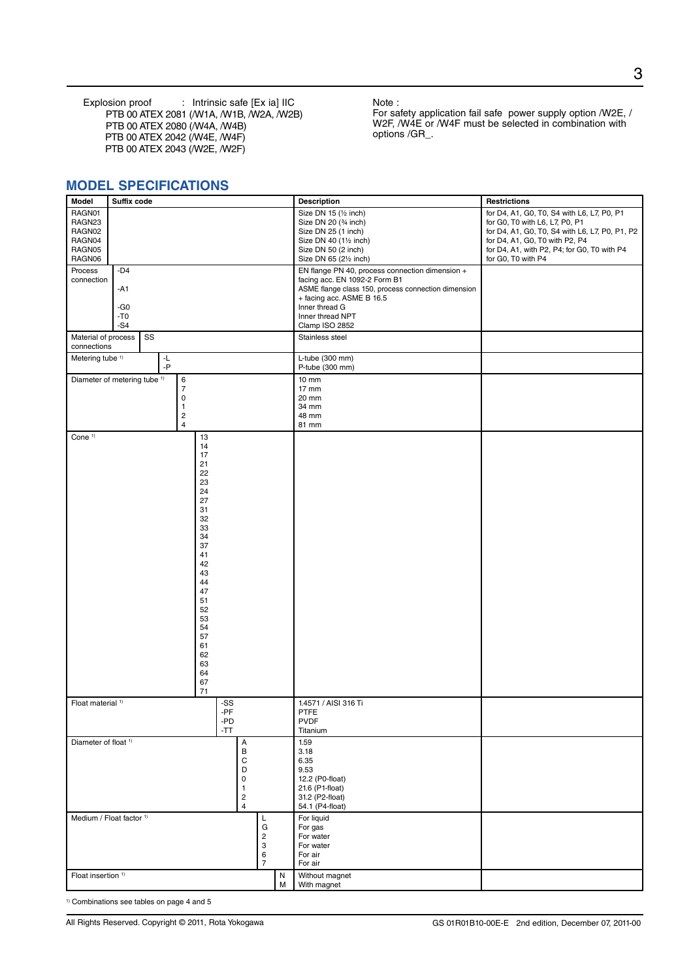Explosion proof : Intrinsic safe [Ex ia] IIC PTB 00 ATEX 2081 (/W1A, /W1B, /W2A, /W2B) PTB 00 ATEX 2080 (/W4A, /W4B) PTB 00 ATEX 2042 (/W4E, /W4F) PTB 00 ATEX 2043 (/W2E, /W2F)

Note :

For safety application fail safe power supply option /W2E, / W2F, /W4E or /W4F must be selected in combination with options /GR\_.

### **MODEL SPECIFICATIONS**

| Model                                                    | Suffix code                             |          |                                                                              |                                                                                                                                                                            | <b>Description</b>         | <b>Restrictions</b>                                                                |                                                                                          |        |                                                                                                                                                                                                                              |                                                                                                                                                                                                                                       |
|----------------------------------------------------------|-----------------------------------------|----------|------------------------------------------------------------------------------|----------------------------------------------------------------------------------------------------------------------------------------------------------------------------|----------------------------|------------------------------------------------------------------------------------|------------------------------------------------------------------------------------------|--------|------------------------------------------------------------------------------------------------------------------------------------------------------------------------------------------------------------------------------|---------------------------------------------------------------------------------------------------------------------------------------------------------------------------------------------------------------------------------------|
| RAGN01<br>RAGN23<br>RAGN02<br>RAGN04<br>RAGN05<br>RAGN06 |                                         |          |                                                                              |                                                                                                                                                                            |                            |                                                                                    |                                                                                          |        | Size DN 15 (1/2 inch)<br>Size DN 20 (% inch)<br>Size DN 25 (1 inch)<br>Size DN 40 (11/2 inch)<br>Size DN 50 (2 inch)<br>Size DN 65 (21/2 inch)                                                                               | for D4, A1, G0, T0, S4 with L6, L7, P0, P1<br>for G0, T0 with L6, L7, P0, P1<br>for D4, A1, G0, T0, S4 with L6, L7, P0, P1, P2<br>for D4, A1, G0, T0 with P2, P4<br>for D4, A1, with P2, P4; for G0, T0 with P4<br>for G0, T0 with P4 |
| Process<br>connection                                    | $-D4$<br>$-A1$<br>-G0<br>$-70$<br>$-S4$ |          |                                                                              |                                                                                                                                                                            |                            |                                                                                    |                                                                                          |        | EN flange PN 40, process connection dimension +<br>facing acc. EN 1092-2 Form B1<br>ASME flange class 150, process connection dimension<br>+ facing acc. ASME B 16.5<br>Inner thread G<br>Inner thread NPT<br>Clamp ISO 2852 |                                                                                                                                                                                                                                       |
| Material of process<br>connections                       |                                         | SS       |                                                                              |                                                                                                                                                                            |                            |                                                                                    |                                                                                          |        | Stainless steel                                                                                                                                                                                                              |                                                                                                                                                                                                                                       |
| Metering tube <sup>1)</sup>                              |                                         | ٠L<br>-P |                                                                              |                                                                                                                                                                            |                            |                                                                                    |                                                                                          |        | L-tube (300 mm)<br>P-tube (300 mm)                                                                                                                                                                                           |                                                                                                                                                                                                                                       |
| Diameter of metering tube <sup>1)</sup>                  |                                         |          | 6<br>$\overline{7}$<br>0<br>$\mathbf{1}$<br>$\overline{c}$<br>$\overline{4}$ |                                                                                                                                                                            |                            |                                                                                    |                                                                                          |        | $10 \text{ mm}$<br>17 mm<br>20 mm<br>34 mm<br>48 mm<br>81 mm                                                                                                                                                                 |                                                                                                                                                                                                                                       |
| Cone <sup>1)</sup>                                       |                                         |          |                                                                              | 13<br>14<br>17<br>21<br>22<br>23<br>24<br>27<br>31<br>32<br>33<br>34<br>37<br>41<br>42<br>43<br>44<br>47<br>51<br>52<br>53<br>54<br>57<br>61<br>62<br>63<br>64<br>67<br>71 |                            |                                                                                    |                                                                                          |        |                                                                                                                                                                                                                              |                                                                                                                                                                                                                                       |
| Float material <sup>1)</sup>                             |                                         |          |                                                                              |                                                                                                                                                                            | -SS<br>-PF<br>-PD<br>$-TT$ |                                                                                    |                                                                                          |        | 1.4571 / AISI 316 Ti<br><b>PTFE</b><br><b>PVDF</b><br>Titanium                                                                                                                                                               |                                                                                                                                                                                                                                       |
| Diameter of float <sup>1)</sup>                          |                                         |          |                                                                              |                                                                                                                                                                            |                            | А<br>В<br>C<br>D<br>0<br>$\mathbf{1}$<br>$\overline{\mathbf{c}}$<br>$\overline{4}$ |                                                                                          |        | 1.59<br>3.18<br>6.35<br>9.53<br>12.2 (P0-float)<br>21.6 (P1-float)<br>31.2 (P2-float)<br>54.1 (P4-float)                                                                                                                     |                                                                                                                                                                                                                                       |
| Medium / Float factor 1)                                 |                                         |          |                                                                              |                                                                                                                                                                            |                            |                                                                                    | L<br>G<br>$\begin{array}{c} 2 \\ 3 \end{array}$<br>$\begin{array}{c} 6 \\ 7 \end{array}$ |        | For liquid<br>For gas<br>For water<br>For water<br>For air<br>For air                                                                                                                                                        |                                                                                                                                                                                                                                       |
| Float insertion <sup>1)</sup>                            |                                         |          |                                                                              |                                                                                                                                                                            |                            |                                                                                    |                                                                                          | N<br>м | Without magnet<br>With magnet                                                                                                                                                                                                |                                                                                                                                                                                                                                       |

<sup>1)</sup> Combinations see tables on page 4 and 5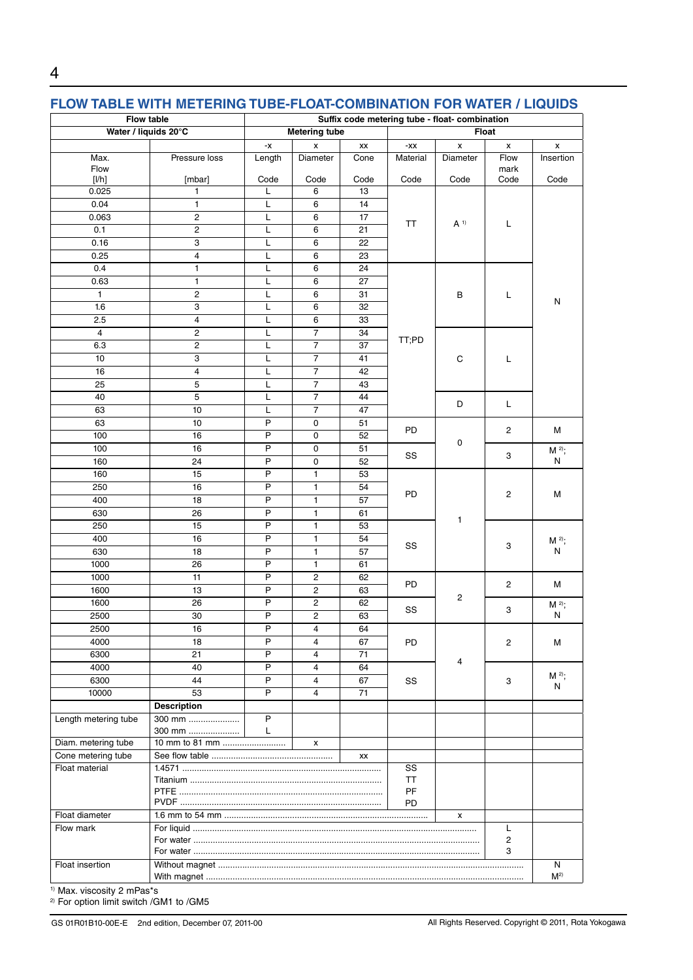### **FLOW TABLE WITH METERING TUBE-FLOAT-COMBINATION FOR WATER / LIQUIDS**

| <b>Flow table</b>    |                         |                | Suffix code metering tube - float- combination |      |           |                |                    |                   |  |  |
|----------------------|-------------------------|----------------|------------------------------------------------|------|-----------|----------------|--------------------|-------------------|--|--|
| Water / liquids 20°C |                         |                | <b>Metering tube</b>                           |      |           |                | <b>Float</b>       |                   |  |  |
|                      |                         | -x             | x                                              | XX   | -XX       | x              | $\pmb{\mathsf{x}}$ | x                 |  |  |
| Max.<br>Flow         | Pressure loss           | Length         | Diameter                                       | Cone | Material  | Diameter       | Flow<br>mark       | Insertion         |  |  |
| [1/h]                | [mbar]                  | Code           | Code                                           | Code | Code      | Code           | Code               | Code              |  |  |
| 0.025                | 1                       | L              | 6                                              | 13   |           |                |                    |                   |  |  |
| 0.04                 | $\mathbf{1}$            | Г              | 6                                              | 14   |           |                |                    |                   |  |  |
| 0.063                | $\overline{c}$          | L              | 6                                              | 17   | ΤT        | A <sup>1</sup> | L                  |                   |  |  |
| 0.1                  | $\overline{2}$          | L              | 6                                              | 21   |           |                |                    |                   |  |  |
| 0.16                 | 3                       | L              | 6                                              | 22   |           |                |                    |                   |  |  |
| 0.25                 | $\overline{4}$          | L              | 6                                              | 23   |           |                |                    |                   |  |  |
| 0.4                  | 1                       | Г              | 6                                              | 24   |           |                |                    |                   |  |  |
| 0.63                 | 1                       | Г              | 6                                              | 27   |           |                |                    |                   |  |  |
| $\mathbf{1}$         | $\overline{c}$          | L              | 6                                              | 31   |           | В              | L                  | N                 |  |  |
| 1.6                  | 3                       | Г              | 6                                              | 32   |           |                |                    |                   |  |  |
| 2.5                  | $\overline{4}$          | L              | 6                                              | 33   |           |                |                    |                   |  |  |
| $\overline{4}$       | $\overline{c}$          | L              | $\overline{7}$                                 | 34   | TT;PD     |                |                    |                   |  |  |
| 6.3                  | $\overline{c}$          | Г              | 7                                              | 37   |           |                |                    |                   |  |  |
| 10                   | 3                       | L              | 7                                              | 41   |           | C              | L                  |                   |  |  |
| 16                   | $\overline{\mathbf{4}}$ | L              | $\overline{7}$                                 | 42   |           |                |                    |                   |  |  |
| 25                   | 5                       | Г              | $\overline{7}$                                 | 43   |           |                |                    |                   |  |  |
| 40                   | 5                       | L              | $\overline{7}$                                 | 44   |           | D              | L                  |                   |  |  |
| 63                   | 10                      | L              | $\overline{7}$                                 | 47   |           |                |                    |                   |  |  |
| 63                   | 10                      | $\sf P$        | 0                                              | 51   | PD        |                | 2                  | М                 |  |  |
| 100                  | 16                      | $\sf P$        | 0                                              | 52   |           | 0              |                    |                   |  |  |
| 100                  | 16                      | P              | 0                                              | 51   | SS        |                | 3                  | M <sup>2)</sup> ; |  |  |
| 160                  | 24                      | $\mathsf{P}$   | 0                                              | 52   |           |                |                    | N                 |  |  |
| 160                  | 15                      | $\overline{P}$ | $\mathbf{1}$                                   | 53   |           |                |                    |                   |  |  |
| 250                  | 16                      | P              | $\mathbf{1}$                                   | 54   | PD        |                | $\overline{c}$     | М                 |  |  |
| 400                  | 18                      | $\sf P$        | $\mathbf{1}$                                   | 57   |           |                |                    |                   |  |  |
| 630                  | 26                      | P              | 1                                              | 61   |           | $\mathbf{1}$   |                    |                   |  |  |
| 250                  | 15                      | $\overline{P}$ | $\mathbf{1}$                                   | 53   |           |                |                    |                   |  |  |
| 400                  | 16                      | $\mathsf{P}$   | $\mathbf{1}$                                   | 54   | SS        |                | 3                  | $M^{2)}$ ;        |  |  |
| 630                  | 18                      | P              | $\mathbf{1}$                                   | 57   |           |                |                    | N                 |  |  |
| 1000                 | 26                      | P              | $\mathbf{1}$                                   | 61   |           |                |                    |                   |  |  |
| 1000                 | 11                      | $\overline{P}$ | $\overline{2}$                                 | 62   |           |                |                    |                   |  |  |
| 1600                 | 13                      | P              | $\overline{2}$                                 | 63   | <b>PD</b> | $\overline{c}$ | $\overline{2}$     | М                 |  |  |
| 1600                 | 26                      | $\overline{P}$ | $\overline{c}$                                 | 62   |           |                |                    | M <sup>2)</sup> ; |  |  |
| 2500                 | 30                      | P              | $\overline{c}$                                 | 63   | SS        |                | 3                  | ${\sf N}$         |  |  |
| 2500                 | 16                      | P              | 4                                              | 64   |           |                |                    |                   |  |  |
| 4000                 | 18                      | P              | 4                                              | 67   | PD        |                | 2                  | М                 |  |  |
| 6300                 | 21                      | P              | 4                                              | 71   |           |                |                    |                   |  |  |
| 4000                 | 40                      | P              | $\overline{4}$                                 | 64   |           | 4              |                    |                   |  |  |
| 6300                 | 44                      | P              | 4                                              | 67   | SS        |                | 3                  | $M^{2)}$ ;<br>N   |  |  |
| 10000                | 53                      | P              | 4                                              | 71   |           |                |                    |                   |  |  |
|                      | <b>Description</b>      |                |                                                |      |           |                |                    |                   |  |  |
| Length metering tube | 300 mm<br>300 mm        | P<br>L         |                                                |      |           |                |                    |                   |  |  |
| Diam. metering tube  | 10 mm to 81 mm          |                | x                                              |      |           |                |                    |                   |  |  |
| Cone metering tube   |                         |                |                                                | XX   |           |                |                    |                   |  |  |
| Float material       |                         |                |                                                |      | SS        |                |                    |                   |  |  |
|                      | ΤT<br>PF                |                |                                                |      |           |                |                    |                   |  |  |
|                      | PD                      |                |                                                |      |           |                |                    |                   |  |  |
| Float diameter       | x                       |                |                                                |      |           |                |                    |                   |  |  |
| Flow mark            |                         |                |                                                |      |           |                | L                  |                   |  |  |
|                      | 2<br>3                  |                |                                                |      |           |                |                    |                   |  |  |
|                      |                         |                |                                                |      |           |                |                    |                   |  |  |
| Float insertion      |                         |                |                                                |      |           |                |                    | N                 |  |  |
|                      |                         |                |                                                |      |           |                |                    | M <sup>2</sup>    |  |  |

<sup>1)</sup> Max. viscosity 2 mPas\*s

4

<sup>2)</sup> For option limit switch /GM1 to /GM5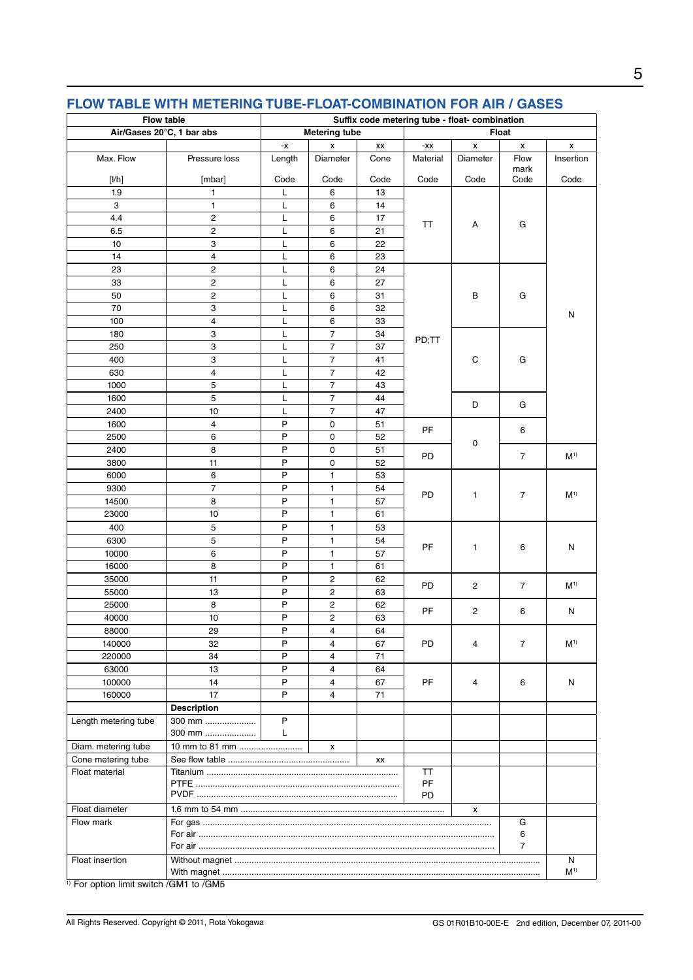| Flow table                |                         |        |                         |       |           | Suffix code metering tube - float- combination |              |                |
|---------------------------|-------------------------|--------|-------------------------|-------|-----------|------------------------------------------------|--------------|----------------|
| Air/Gases 20°C, 1 bar abs | <b>Metering tube</b>    |        |                         | Float |           |                                                |              |                |
|                           |                         | -x     | x                       | XX    | -XX       | x                                              | x            | x              |
| Max. Flow                 | Pressure loss           | Length | Diameter                | Cone  | Material  | Diameter                                       | Flow<br>mark | Insertion      |
| [1/h]                     | [mbar]                  | Code   | Code                    | Code  | Code      | Code                                           | Code         | Code           |
| 1.9                       | $\mathbf{1}$            | Г      | 6                       | 13    |           |                                                |              |                |
| 3                         | $\mathbf{1}$            | Г      | 6                       | 14    |           |                                                |              |                |
| 4.4                       | $\overline{2}$          | L      | 6                       | 17    | TT        | A                                              | G            |                |
| 6.5                       | $\overline{2}$          | Г      | 6                       | 21    |           |                                                |              |                |
| 10                        | 3                       | L      | 6                       | 22    |           |                                                |              |                |
| 14                        | $\overline{\mathbf{4}}$ | L      | 6                       | 23    |           |                                                |              |                |
| 23                        | $\mathbf 2$             | Г      | 6                       | 24    |           |                                                |              |                |
| 33                        | $\overline{2}$          | Г      | 6                       | 27    |           |                                                |              |                |
| 50                        | $\overline{2}$          | Г      | 6                       | 31    |           | $\sf B$                                        | G            |                |
| 70                        | 3                       | Г      | 6                       | 32    |           |                                                |              | N              |
| 100                       | 4                       | L      | 6                       | 33    |           |                                                |              |                |
| 180                       | 3                       | L      | $\boldsymbol{7}$        | 34    | PD;TT     |                                                |              |                |
| 250                       | 3                       | Г      | $\overline{7}$          | 37    |           |                                                |              |                |
| 400                       | 3                       | Г      | $\overline{7}$          | 41    |           | C                                              | G            |                |
| 630                       | $\overline{4}$          | L      | $\overline{7}$          | 42    |           |                                                |              |                |
| 1000                      | 5                       | L      | 7                       | 43    |           |                                                |              |                |
| 1600                      | 5                       | Г      | 7                       | 44    |           | D                                              | G            |                |
| 2400                      | 10                      | L      | $\overline{7}$          | 47    |           |                                                |              |                |
| 1600                      | $\overline{4}$          | P      | $\pmb{0}$               | 51    | <b>PF</b> |                                                | 6            |                |
| 2500                      | 6                       | P      | 0                       | 52    |           | 0                                              |              |                |
| 2400                      | 8                       | P      | 0                       | 51    | PD        |                                                | 7            | M <sup>1</sup> |
| 3800                      | 11                      | P      | 0                       | 52    |           |                                                |              |                |
| 6000                      | 6                       | P      | $\mathbf{1}$            | 53    |           |                                                |              |                |
| 9300                      | 7                       | Ρ      | 1                       | 54    | PD        | 1                                              | 7            | M <sup>1</sup> |
| 14500                     | 8                       | P      | 1                       | 57    |           |                                                |              |                |
| 23000                     | 10                      | P      | $\mathbf{1}$            | 61    |           |                                                |              |                |
| 400                       | 5                       | P      | 1                       | 53    |           |                                                |              |                |
| 6300                      | 5                       | P      | $\mathbf{1}$            | 54    | PF        | $\mathbf{1}$                                   | 6            | N              |
| 10000                     | 6                       | P      | $\mathbf{1}$            | 57    |           |                                                |              |                |
| 16000                     | 8                       | P      | 1                       | 61    |           |                                                |              |                |
| 35000                     | 11                      | P      | $\overline{\mathbf{c}}$ | 62    | PD        | $\overline{c}$                                 | 7            | M <sup>1</sup> |
| 55000                     | 13                      | P      | 2                       | 63    |           |                                                |              |                |
| 25000                     | 8                       | P      | $\overline{\mathbf{c}}$ | 62    | PF        | 2                                              | 6            | N              |
| 40000                     | 10                      | P      | $\overline{c}$          | 63    |           |                                                |              |                |
| 88000                     | 29                      | P      | 4                       | 64    |           |                                                |              |                |
| 140000                    | 32                      | P      | 4                       | 67    | PD        | 4                                              | 7            | M <sup>1</sup> |
| 220000                    | 34                      | P      | 4                       | 71    |           |                                                |              |                |
| 63000                     | 13                      | P      | 4                       | 64    |           |                                                |              |                |
| 100000                    | 14                      | P      | 4                       | 67    | PF        | 4                                              | 6            | N              |
| 160000                    | 17                      | P      | $\overline{4}$          | 71    |           |                                                |              |                |
|                           | <b>Description</b>      |        |                         |       |           |                                                |              |                |
| Length metering tube      | 300 mm                  | P      |                         |       |           |                                                |              |                |
|                           | 300 mm                  | L      |                         |       |           |                                                |              |                |
| Diam. metering tube       | 10 mm to 81 mm          |        | х                       |       |           |                                                |              |                |
| Cone metering tube        | XX                      |        |                         |       |           |                                                |              |                |
| Float material            | TT<br>PF<br><b>PD</b>   |        |                         |       |           |                                                |              |                |
| Float diameter            | x                       |        |                         |       |           |                                                |              |                |
| Flow mark                 | G                       |        |                         |       |           |                                                |              |                |
|                           | 6                       |        |                         |       |           |                                                |              |                |
|                           | 7                       |        |                         |       |           |                                                |              |                |
| Float insertion           |                         |        |                         |       |           |                                                |              | N              |
|                           |                         |        |                         |       |           |                                                |              | M <sup>1</sup> |

## **FLOW TABLE WITH METERING TUBE-FLOAT-COMBINATION FOR AIR / GASES**

<sup>1</sup>) For option limit switch /GM1 to /GM5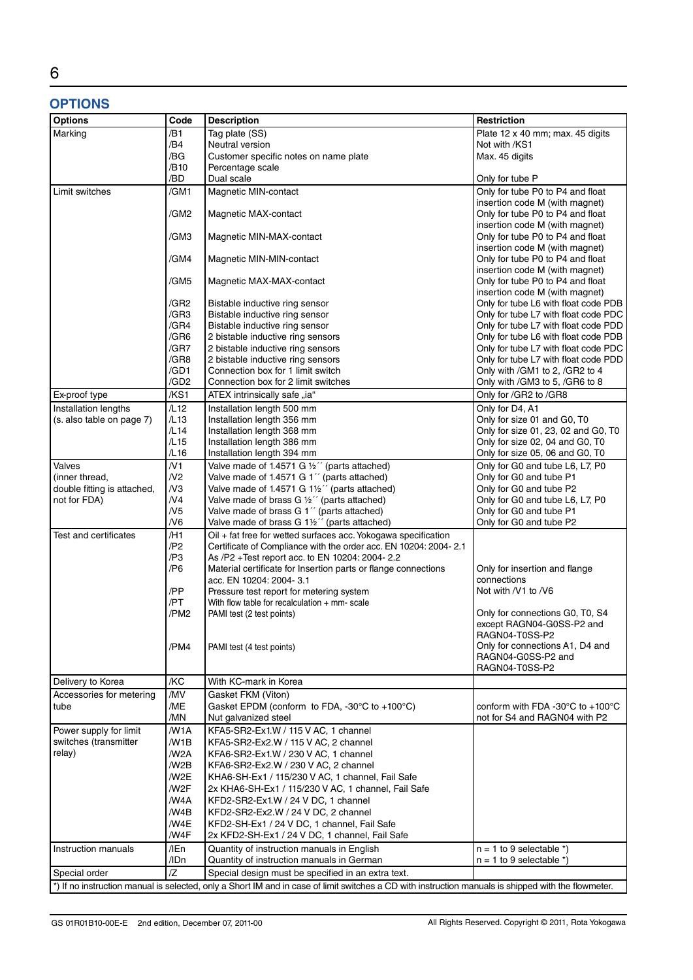# 6

## **OPTIONS**

| <b>Options</b>              | Code               | <b>Description</b>                                                                                                                                  | <b>Restriction</b>                                                 |
|-----------------------------|--------------------|-----------------------------------------------------------------------------------------------------------------------------------------------------|--------------------------------------------------------------------|
| Marking                     | /B1                | Tag plate (SS)                                                                                                                                      | Plate 12 x 40 mm; max. 45 digits                                   |
|                             | /B4                | Neutral version                                                                                                                                     | Not with /KS1                                                      |
|                             | /BG                | Customer specific notes on name plate                                                                                                               | Max. 45 digits                                                     |
|                             | /B10               | Percentage scale                                                                                                                                    |                                                                    |
|                             | /BD                | Dual scale                                                                                                                                          | Only for tube P                                                    |
| Limit switches              | /GM1               | Magnetic MIN-contact                                                                                                                                | Only for tube P0 to P4 and float                                   |
|                             |                    |                                                                                                                                                     | insertion code M (with magnet)                                     |
|                             | /GM2               | Magnetic MAX-contact                                                                                                                                | Only for tube P0 to P4 and float                                   |
|                             |                    |                                                                                                                                                     | insertion code M (with magnet)                                     |
|                             | /GM3               | Magnetic MIN-MAX-contact                                                                                                                            | Only for tube P0 to P4 and float                                   |
|                             |                    |                                                                                                                                                     | insertion code M (with magnet)                                     |
|                             | /GM4               | Magnetic MIN-MIN-contact                                                                                                                            | Only for tube P0 to P4 and float<br>insertion code M (with magnet) |
|                             | /GM5               | Magnetic MAX-MAX-contact                                                                                                                            | Only for tube P0 to P4 and float                                   |
|                             |                    |                                                                                                                                                     | insertion code M (with magnet)                                     |
|                             | /GR2               | Bistable inductive ring sensor                                                                                                                      | Only for tube L6 with float code PDB                               |
|                             | /GR3               | Bistable inductive ring sensor                                                                                                                      | Only for tube L7 with float code PDC                               |
|                             | /GR4               | Bistable inductive ring sensor                                                                                                                      | Only for tube L7 with float code PDD                               |
|                             | /GR6               | 2 bistable inductive ring sensors                                                                                                                   | Only for tube L6 with float code PDB                               |
|                             | /GR7               | 2 bistable inductive ring sensors                                                                                                                   | Only for tube L7 with float code PDC                               |
|                             | /GR8               | 2 bistable inductive ring sensors                                                                                                                   | Only for tube L7 with float code PDD                               |
|                             | /GD1               | Connection box for 1 limit switch                                                                                                                   | Only with / GM1 to 2, / GR2 to 4                                   |
|                             | /GD <sub>2</sub>   | Connection box for 2 limit switches                                                                                                                 | Only with /GM3 to 5, /GR6 to 8                                     |
| Ex-proof type               | /KS1               | ATEX intrinsically safe "ia"                                                                                                                        | Only for /GR2 to /GR8                                              |
| Installation lengths        | /L12               | Installation length 500 mm                                                                                                                          | Only for D4, A1                                                    |
| (s. also table on page 7)   | /L13               | Installation length 356 mm                                                                                                                          | Only for size 01 and G0, T0                                        |
|                             | /L14               | Installation length 368 mm                                                                                                                          | Only for size 01, 23, 02 and G0, T0                                |
|                             | /L15               | Installation length 386 mm                                                                                                                          | Only for size 02, 04 and G0, T0                                    |
|                             | /L16               | Installation length 394 mm                                                                                                                          | Only for size 05, 06 and G0, T0                                    |
| Valves                      | /N1                | Valve made of 1.4571 G $\frac{1}{2}$ " (parts attached)                                                                                             | Only for G0 and tube L6, L7, P0                                    |
| (inner thread,              | N <sub>2</sub>     | Valve made of 1.4571 G 1" (parts attached)                                                                                                          | Only for G0 and tube P1                                            |
| double fitting is attached, | N <sub>3</sub>     | Valve made of 1.4571 G 1½" (parts attached)                                                                                                         | Only for G0 and tube P2                                            |
| not for FDA)                | N <sub>4</sub>     | Valve made of brass G $\frac{1}{2}$ " (parts attached)                                                                                              | Only for G0 and tube L6, L7, P0                                    |
|                             | N <sub>5</sub>     | Valve made of brass G 1" (parts attached)                                                                                                           | Only for G0 and tube P1                                            |
|                             | N6                 | Valve made of brass G 1½" (parts attached)                                                                                                          | Only for G0 and tube P2                                            |
| Test and certificates       | $/$ H <sub>1</sub> | Oil + fat free for wetted surfaces acc. Yokogawa specification                                                                                      |                                                                    |
|                             | /P2<br>/P3         | Certificate of Compliance with the order acc. EN 10204: 2004-2.1                                                                                    |                                                                    |
|                             | /P6                | As /P2 +Test report acc. to EN 10204: 2004-2.2<br>Material certificate for Insertion parts or flange connections                                    | Only for insertion and flange                                      |
|                             |                    | acc. EN 10204: 2004-3.1                                                                                                                             | connections                                                        |
|                             | /PP                | Pressure test report for metering system                                                                                                            | Not with /V1 to /V6                                                |
|                             | /PT                | With flow table for recalculation $+$ mm-scale                                                                                                      |                                                                    |
|                             | /PM2               | PAMI test (2 test points)                                                                                                                           | Only for connections G0, T0, S4                                    |
|                             |                    |                                                                                                                                                     | except RAGN04-G0SS-P2 and                                          |
|                             |                    |                                                                                                                                                     | RAGN04-T0SS-P2                                                     |
|                             | /PM4               | PAMI test (4 test points)                                                                                                                           | Only for connections A1, D4 and                                    |
|                             |                    |                                                                                                                                                     | RAGN04-G0SS-P2 and                                                 |
|                             |                    |                                                                                                                                                     | RAGN04-T0SS-P2                                                     |
| Delivery to Korea           | /KC<br>/MV         | With KC-mark in Korea<br>Gasket FKM (Viton)                                                                                                         |                                                                    |
| Accessories for metering    | /ME                | Gasket EPDM (conform to FDA, $-30^{\circ}$ C to $+100^{\circ}$ C)                                                                                   | conform with FDA -30 $^{\circ}$ C to +100 $^{\circ}$ C             |
| tube                        | /MN                | Nut galvanized steel                                                                                                                                | not for S4 and RAGN04 with P2                                      |
| Power supply for limit      | /W1A               | KFA5-SR2-Ex1.W / 115 V AC, 1 channel                                                                                                                |                                                                    |
| switches (transmitter       | /W1B               | KFA5-SR2-Ex2.W / 115 V AC, 2 channel                                                                                                                |                                                                    |
| relay)                      | /W <sub>2</sub> A  | KFA6-SR2-Ex1.W / 230 V AC, 1 channel                                                                                                                |                                                                    |
|                             | /W <sub>2</sub> B  | KFA6-SR2-Ex2.W / 230 V AC, 2 channel                                                                                                                |                                                                    |
|                             | /W <sub>2</sub> E  | KHA6-SH-Ex1 / 115/230 V AC, 1 channel, Fail Safe                                                                                                    |                                                                    |
|                             | /W2F               | 2x KHA6-SH-Ex1 / 115/230 V AC, 1 channel, Fail Safe                                                                                                 |                                                                    |
|                             | /W4A               | KFD2-SR2-Ex1.W / 24 V DC, 1 channel                                                                                                                 |                                                                    |
|                             | /W4B               | KFD2-SR2-Ex2.W / 24 V DC, 2 channel                                                                                                                 |                                                                    |
|                             | /W4E               | KFD2-SH-Ex1 / 24 V DC, 1 channel, Fail Safe                                                                                                         |                                                                    |
|                             | /W4F               | 2x KFD2-SH-Ex1 / 24 V DC, 1 channel, Fail Safe                                                                                                      |                                                                    |
| Instruction manuals         | /IEn               | Quantity of instruction manuals in English                                                                                                          | $n = 1$ to 9 selectable *)                                         |
|                             | /IDn               | Quantity of instruction manuals in German                                                                                                           | $n = 1$ to 9 selectable $\alpha$                                   |
| Special order               | $\overline{Z}$     | Special design must be specified in an extra text.                                                                                                  |                                                                    |
|                             |                    | *) If no instruction manual is selected, only a Short IM and in case of limit switches a CD with instruction manuals is shipped with the flowmeter. |                                                                    |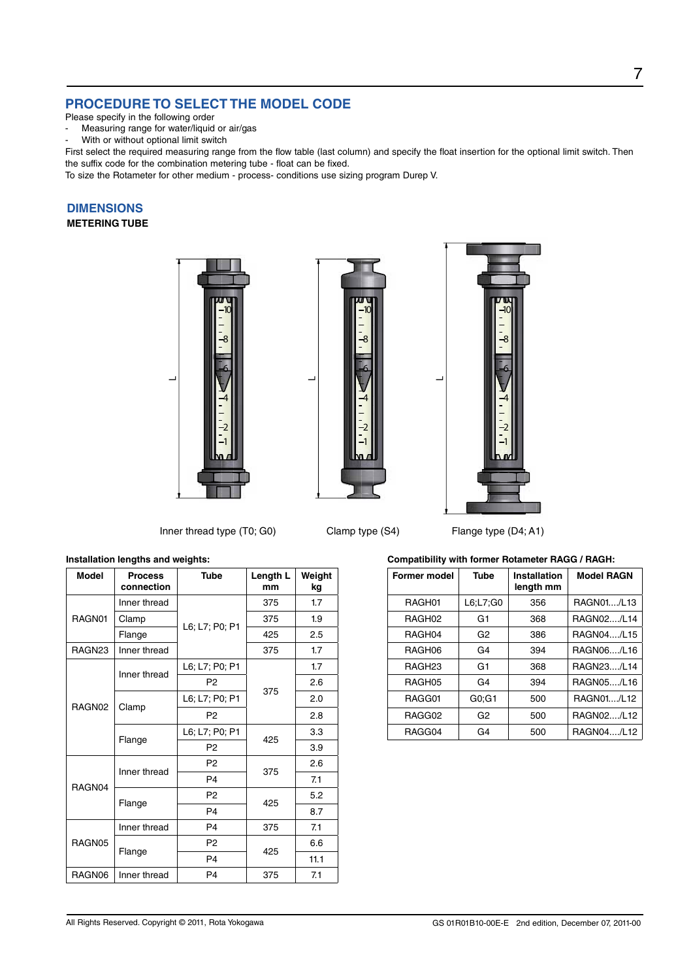### **PROCEDURE TO SELECT THE MODEL CODE**

- Please specify in the following order
- Measuring range for water/liquid or air/gas

With or without optional limit switch

First select the required measuring range from the flow table (last column) and specify the float insertion for the optional limit switch. Then the suffix code for the combination metering tube - float can be fixed.

To size the Rotameter for other medium - process- conditions use sizing program Durep V.

### **DIMENSIONS**

### **METERING TUBE**





 $\overline{\phantom{a}}$ 



Inner thread type (T0; G0) Clamp type (S4) Flange type (D4; A1)

#### **Installation lengths and weights:**

| <b>Model</b> | <b>Process</b><br>connection | <b>Tube</b>    | Length L<br>mm | Weight<br>kg |
|--------------|------------------------------|----------------|----------------|--------------|
| RAGN01       | Inner thread                 |                | 375            | 1.7          |
|              | Clamp                        | L6; L7; P0; P1 | 375            | 1.9          |
|              | Flange                       |                | 425            | 2.5          |
| RAGN23       | Inner thread                 |                | 375            | 1.7          |
| RAGN02       | Inner thread                 | L6; L7; P0; P1 |                | 1.7          |
|              |                              | P <sub>2</sub> |                | 2.6          |
|              |                              | L6; L7; P0; P1 | 375            | 2.0          |
|              | Clamp                        | P <sub>2</sub> |                | 2.8          |
|              | Flange                       | L6; L7; P0; P1 | 425            | 3.3          |
|              |                              | P <sub>2</sub> |                | 3.9          |
| RAGN04       | Inner thread                 | P <sub>2</sub> | 375            | 2.6          |
|              |                              | P <sub>4</sub> |                | 7.1          |
|              | Flange                       | P <sub>2</sub> | 425            | 5.2          |
|              |                              | P <sub>4</sub> |                | 8.7          |
| RAGN05       | Inner thread                 | P <sub>4</sub> | 375            | 7.1          |
|              |                              | P <sub>2</sub> | 425            | 6.6          |
|              | Flange                       | P <sub>4</sub> |                | 11.1         |
| RAGN06       | Inner thread                 | P <sub>4</sub> | 375            | 7.1          |

**Compatibility with former Rotameter RAGG / RAGH:**

| <b>Former model</b> | <b>Tube</b>        | <b>Installation</b><br>length mm | <b>Model RAGN</b> |
|---------------------|--------------------|----------------------------------|-------------------|
| RAGH01              | $L6$ ; $L7$ ; $G0$ | 356                              | RAGN01/L13        |
| RAGH <sub>02</sub>  | G1                 | 368                              | RAGN02/L14        |
| RAGH04              | G <sub>2</sub>     | 386                              | RAGN04/L15        |
| RAGH06              | G4                 | 394                              | RAGN06/L16        |
| RAGH <sub>23</sub>  | G1                 | 368                              | RAGN23/L14        |
| RAGH05              | G4                 | 394                              | RAGN05/L16        |
| RAGG01              | G0:G1              | 500                              | RAGN01/L12        |
| RAGG02              | G <sub>2</sub>     | 500                              | RAGN02/L12        |
| RAGG04              | G4                 | 500                              | RAGN04/L12        |